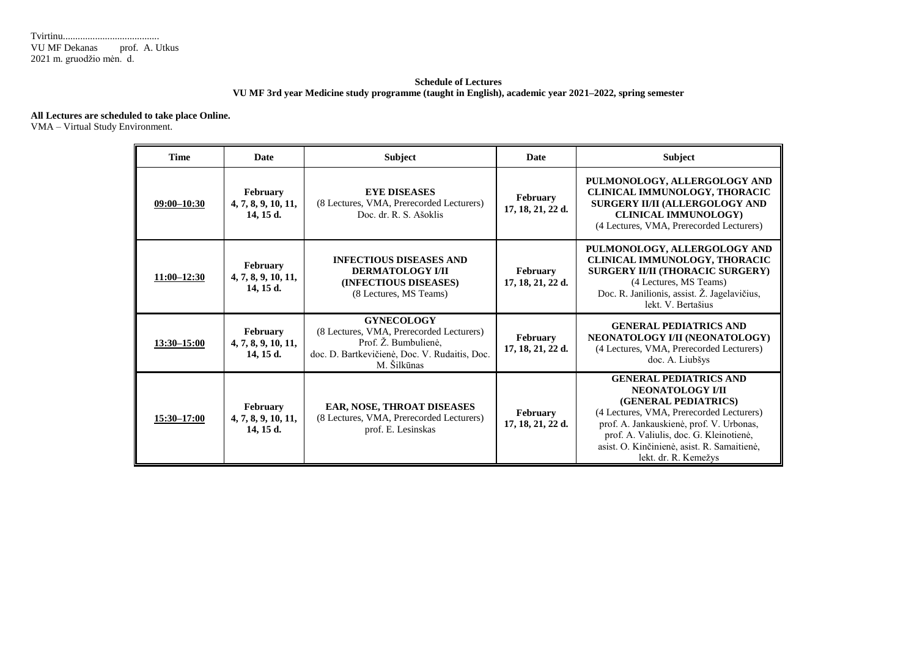## **Schedule of Lectures VU MF 3rd year Medicine study programme (taught in English), academic year 2021–2022, spring semester**

## **All Lectures are scheduled to take place Online.**

VMA – Virtual Study Environment.

| <b>Time</b>        | <b>Date</b>                                                                                                                                                                                           | <b>Subject</b>                                                                                               | <b>Date</b>                          | <b>Subject</b>                                                                                                                                                                                                                                                                             |  |
|--------------------|-------------------------------------------------------------------------------------------------------------------------------------------------------------------------------------------------------|--------------------------------------------------------------------------------------------------------------|--------------------------------------|--------------------------------------------------------------------------------------------------------------------------------------------------------------------------------------------------------------------------------------------------------------------------------------------|--|
| $09:00 - 10:30$    | February<br>4, 7, 8, 9, 10, 11,<br>14, 15 d.                                                                                                                                                          | <b>EYE DISEASES</b><br>(8 Lectures, VMA, Prerecorded Lecturers)<br>Doc. dr. R. S. Ašoklis                    | February<br>17, 18, 21, 22 d.        | PULMONOLOGY, ALLERGOLOGY AND<br>CLINICAL IMMUNOLOGY, THORACIC<br>SURGERY II/II (ALLERGOLOGY AND<br><b>CLINICAL IMMUNOLOGY)</b><br>(4 Lectures, VMA, Prerecorded Lecturers)                                                                                                                 |  |
| $11:00 - 12:30$    | February<br>4, 7, 8, 9, 10, 11,<br>14.15d.                                                                                                                                                            | <b>INFECTIOUS DISEASES AND</b><br><b>DERMATOLOGY I/II</b><br>(INFECTIOUS DISEASES)<br>(8 Lectures, MS Teams) | <b>February</b><br>17, 18, 21, 22 d. | PULMONOLOGY, ALLERGOLOGY AND<br>CLINICAL IMMUNOLOGY, THORACIC<br>SURGERY II/II (THORACIC SURGERY)<br>(4 Lectures, MS Teams)<br>Doc. R. Janilionis, assist. Ž. Jagelavičius,<br>lekt. V. Bertašius                                                                                          |  |
| <u>13:30–15:00</u> | <b>GYNECOLOGY</b><br>(8 Lectures, VMA, Prerecorded Lecturers)<br>February<br>Prof. Ž. Bumbulienė,<br>4, 7, 8, 9, 10, 11,<br>doc. D. Bartkevičienė, Doc. V. Rudaitis, Doc.<br>14, 15 d.<br>M. Šilkūnas |                                                                                                              | February<br>17, 18, 21, 22 d.        | <b>GENERAL PEDIATRICS AND</b><br>NEONATOLOGY I/II (NEONATOLOGY)<br>(4 Lectures, VMA, Prerecorded Lecturers)<br>doc. A. Liubšys                                                                                                                                                             |  |
| $15:30 - 17:00$    | <b>February</b><br>4, 7, 8, 9, 10, 11,<br>$14, 15$ d.                                                                                                                                                 | EAR, NOSE, THROAT DISEASES<br>(8 Lectures, VMA, Prerecorded Lecturers)<br>prof. E. Lesinskas                 | February<br>17, 18, 21, 22 d.        | <b>GENERAL PEDIATRICS AND</b><br><b>NEONATOLOGY I/II</b><br>(GENERAL PEDIATRICS)<br>(4 Lectures, VMA, Prerecorded Lecturers)<br>prof. A. Jankauskienė, prof. V. Urbonas,<br>prof. A. Valiulis, doc. G. Kleinotienė,<br>asist. O. Kinčinienė, asist. R. Samaitienė,<br>lekt. dr. R. Kemežys |  |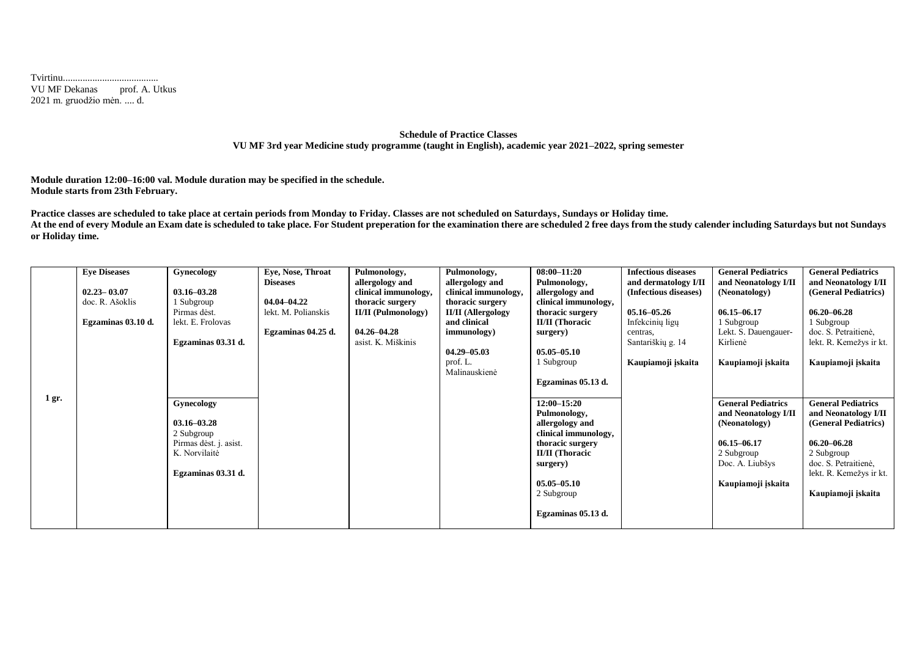Tvirtinu....................................... VU MF Dekanas prof. A. Utkus 2021 m. gruodžio mėn. .... d.

## **Schedule of Practice Classes VU MF 3rd year Medicine study programme (taught in English), academic year 2021–2022, spring semester**

**Module duration 12:00–16:00 val. Module duration may be specified in the schedule. Module starts from 23th February.**

**Practice classes are scheduled to take place at certain periods from Monday to Friday. Classes are not scheduled on Saturdays, Sundays or Holiday time.** At the end of every Module an Exam date is scheduled to take place. For Student preperation for the examination there are scheduled 2 free days from the study calender including Saturdays but not Sundays **or Holiday time.**

|       | <b>Eve Diseases</b> | Gynecology             | Eve, Nose, Throat   | Pulmonology,               | Pulmonology,              | $08:00 - 11:20$        | <b>Infectious diseases</b> | <b>General Pediatrics</b> | <b>General Pediatrics</b> |
|-------|---------------------|------------------------|---------------------|----------------------------|---------------------------|------------------------|----------------------------|---------------------------|---------------------------|
|       |                     |                        | <b>Diseases</b>     | allergology and            | allergology and           | Pulmonology,           | and dermatology I/II       | and Neonatology I/II      | and Neonatology I/II      |
|       | $02.23 - 03.07$     | $03.16 - 03.28$        |                     | clinical immunology,       | clinical immunology,      | allergology and        | (Infectious diseases)      | (Neonatology)             | (General Pediatrics)      |
|       | doc. R. Ašoklis     | 1 Subgroup             | 04.04–04.22         | thoracic surgery           | thoracic surgery          | clinical immunology,   |                            |                           |                           |
|       |                     | Pirmas dėst.           | lekt. M. Polianskis | <b>II/II</b> (Pulmonology) | <b>II/II</b> (Allergology | thoracic surgery       | $05.16 - 05.26$            | $06.15 - 06.17$           | $06.20 - 06.28$           |
|       | Egzaminas 03.10 d.  | lekt. E. Frolovas      |                     |                            | and clinical              | <b>II/II</b> (Thoracic | Infekcinių ligų            | 1 Subgroup                | 1 Subgroup                |
|       |                     |                        | Egzaminas 04.25 d.  | $04.26 - 04.28$            | immunology)               | surgery)               | centras.                   | Lekt. S. Dauengauer-      | doc. S. Petraitiene,      |
|       |                     | Egzaminas 03.31 d.     |                     | asist. K. Miškinis         |                           |                        | Santariškių g. 14          | Kirlienė                  | lekt. R. Kemežys ir kt.   |
|       |                     |                        |                     |                            | $04.29 - 05.03$           | $05.05 - 05.10$        |                            |                           |                           |
|       |                     |                        |                     |                            | prof. L.                  | 1 Subgroup             | Kaupiamoji įskaita         | Kaupiamoji įskaita        | Kaupiamoji įskaita        |
|       |                     |                        |                     |                            | Malinauskienė             |                        |                            |                           |                           |
|       |                     |                        |                     |                            |                           | Egzaminas 05.13 d.     |                            |                           |                           |
|       |                     |                        |                     |                            |                           |                        |                            |                           |                           |
| 1 gr. |                     | Gynecology             |                     |                            |                           | $12:00 - 15:20$        |                            | <b>General Pediatrics</b> | <b>General Pediatrics</b> |
|       |                     |                        |                     |                            |                           | Pulmonology,           |                            | and Neonatology I/II      | and Neonatology I/II      |
|       |                     | $03.16 - 03.28$        |                     |                            |                           | allergology and        |                            | (Neonatology)             | (General Pediatrics)      |
|       |                     | 2 Subgroup             |                     |                            |                           | clinical immunology,   |                            |                           |                           |
|       |                     | Pirmas dėst. j. asist. |                     |                            |                           | thoracic surgery       |                            | $06.15 - 06.17$           | $06.20 - 06.28$           |
|       |                     | K. Norvilaitė          |                     |                            |                           | <b>II/II</b> (Thoracic |                            | 2 Subgroup                | 2 Subgroup                |
|       |                     |                        |                     |                            |                           | surgery)               |                            | Doc. A. Liubšys           | doc. S. Petraitienė,      |
|       |                     | Egzaminas 03.31 d.     |                     |                            |                           |                        |                            |                           | lekt. R. Kemežys ir kt.   |
|       |                     |                        |                     |                            |                           | $05.05 - 05.10$        |                            | Kaupiamoji įskaita        |                           |
|       |                     |                        |                     |                            |                           | 2 Subgroup             |                            |                           | Kaupiamoji įskaita        |
|       |                     |                        |                     |                            |                           |                        |                            |                           |                           |
|       |                     |                        |                     |                            |                           | Egzaminas 05.13 d.     |                            |                           |                           |
|       |                     |                        |                     |                            |                           |                        |                            |                           |                           |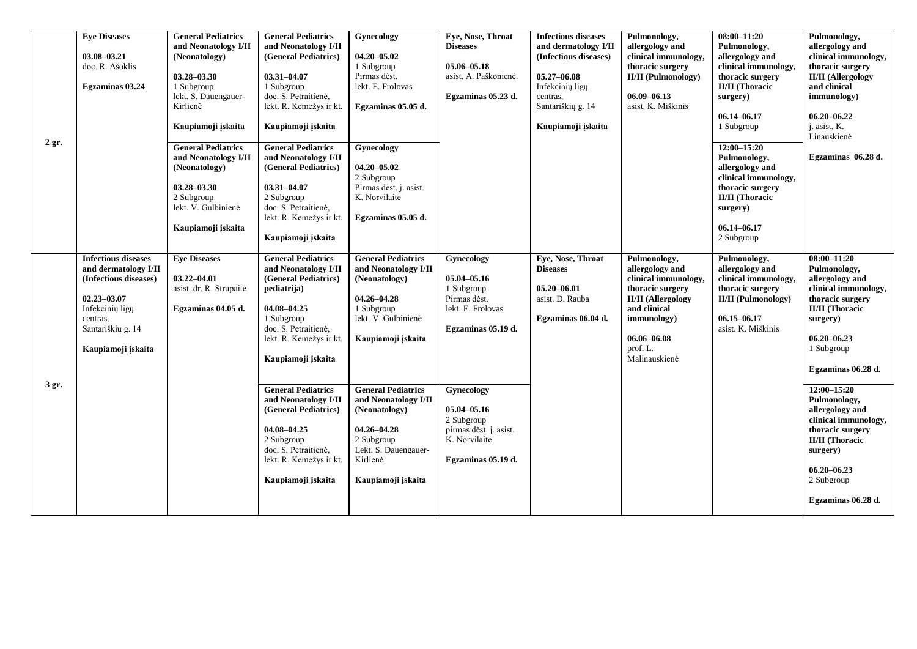|         | <b>Eye Diseases</b><br>03.08-03.21<br>doc. R. Ašoklis<br>Egzaminas 03.24                                                                                                 | <b>General Pediatrics</b><br>and Neonatology I/II<br>(Neonatology)<br>$03.28 - 03.30$<br>1 Subgroup<br>lekt. S. Dauengauer-<br>Kirlienė                                | <b>General Pediatrics</b><br>and Neonatology I/II<br>(General Pediatrics)<br>03.31-04.07<br>1 Subgroup<br>doc. S. Petraitienė,<br>lekt. R. Kemežys ir kt.                                                                                                                                                                                                                         | Gynecology<br>$04.20 - 05.02$<br>1 Subgroup<br>Pirmas dėst.<br>lekt. E. Frolovas<br>Egzaminas 05.05 d.                                                                                                                                                                                                            | Eve, Nose, Throat<br><b>Diseases</b><br>05.06-05.18<br>asist. A. Paškonienė.<br>Egzaminas 05.23 d.                                                                                                             | <b>Infectious diseases</b><br>and dermatology I/II<br>(Infectious diseases)<br>$05.27 - 06.08$<br>Infekcinių ligų<br>centras,<br>Santariškių g. 14 | Pulmonology,<br>allergology and<br>clinical immunology,<br>thoracic surgery<br><b>II/II</b> (Pulmonology)<br>$06.09 - 06.13$<br>asist. K. Miškinis                                      | $08:00 - 11:20$<br>Pulmonology,<br>allergology and<br>clinical immunology,<br>thoracic surgery<br><b>II/II</b> (Thoracic<br>surgery)<br>$06.14 - 06.17$                             | Pulmonology,<br>allergology and<br>clinical immunology,<br>thoracic surgery<br><b>II/II</b> (Allergology<br>and clinical<br>immunology)<br>$06.20 - 06.22$                                                                                                                                                                                                                                 |
|---------|--------------------------------------------------------------------------------------------------------------------------------------------------------------------------|------------------------------------------------------------------------------------------------------------------------------------------------------------------------|-----------------------------------------------------------------------------------------------------------------------------------------------------------------------------------------------------------------------------------------------------------------------------------------------------------------------------------------------------------------------------------|-------------------------------------------------------------------------------------------------------------------------------------------------------------------------------------------------------------------------------------------------------------------------------------------------------------------|----------------------------------------------------------------------------------------------------------------------------------------------------------------------------------------------------------------|----------------------------------------------------------------------------------------------------------------------------------------------------|-----------------------------------------------------------------------------------------------------------------------------------------------------------------------------------------|-------------------------------------------------------------------------------------------------------------------------------------------------------------------------------------|--------------------------------------------------------------------------------------------------------------------------------------------------------------------------------------------------------------------------------------------------------------------------------------------------------------------------------------------------------------------------------------------|
| $2$ gr. |                                                                                                                                                                          | Kaupiamoji įskaita<br><b>General Pediatrics</b><br>and Neonatology I/II<br>(Neonatology)<br>$03.28 - 03.30$<br>2 Subgroup<br>lekt. V. Gulbinienė<br>Kaupiamoji įskaita | Kaupiamoji įskaita<br><b>General Pediatrics</b><br>and Neonatology I/II<br>(General Pediatrics)<br>03.31-04.07<br>2 Subgroup<br>doc. S. Petraitienė,<br>lekt. R. Kemežys ir kt.<br>Kaupiamoji įskaita                                                                                                                                                                             | Gynecology<br>$04.20 - 05.02$<br>2 Subgroup<br>Pirmas dėst. j. asist.<br>K. Norvilaitė<br>Egzaminas 05.05 d.                                                                                                                                                                                                      |                                                                                                                                                                                                                | Kaupiamoji įskaita                                                                                                                                 |                                                                                                                                                                                         | 1 Subgroup<br>$12:00 - 15:20$<br>Pulmonology,<br>allergology and<br>clinical immunology,<br>thoracic surgery<br><b>II/II</b> (Thoracic<br>surgery)<br>$06.14 - 06.17$<br>2 Subgroup | j. asist. K.<br>Linauskienė<br>Egzaminas 06.28 d.                                                                                                                                                                                                                                                                                                                                          |
| 3 gr.   | <b>Infectious diseases</b><br>and dermatology I/II<br>(Infectious diseases)<br>$02.23 - 03.07$<br>Infekcinių ligų<br>centras.<br>Santariškių g. 14<br>Kaupiamoji įskaita | <b>Eye Diseases</b><br>$03.22 - 04.01$<br>asist. dr. R. Strupaitė<br>Egzaminas 04.05 d.                                                                                | <b>General Pediatrics</b><br>and Neonatology I/II<br>(General Pediatrics)<br>pediatrija)<br>04.08-04.25<br>1 Subgroup<br>doc. S. Petraitienė,<br>lekt. R. Kemežys ir kt.<br>Kaupiamoji iskaita<br><b>General Pediatrics</b><br>and Neonatology I/II<br>(General Pediatrics)<br>04.08-04.25<br>2 Subgroup<br>doc. S. Petraitienė,<br>lekt. R. Kemežys ir kt.<br>Kaupiamoji įskaita | <b>General Pediatrics</b><br>and Neonatology I/II<br>(Neonatology)<br>$04.26 - 04.28$<br>1 Subgroup<br>lekt. V. Gulbinienė<br>Kaupiamoji įskaita<br><b>General Pediatrics</b><br>and Neonatology I/II<br>(Neonatology)<br>$04.26 - 04.28$<br>2 Subgroup<br>Lekt. S. Dauengauer-<br>Kirlienė<br>Kaupiamoji įskaita | Gynecology<br>05.04-05.16<br>1 Subgroup<br>Pirmas dėst.<br>lekt. E. Frolovas<br>Egzaminas 05.19 d.<br>Gynecology<br>05.04-05.16<br>2 Subgroup<br>pirmas dėst. j. asist.<br>K. Norvilaitė<br>Egzaminas 05.19 d. | Eye, Nose, Throat<br><b>Diseases</b><br>$05.20 - 06.01$<br>asist. D. Rauba<br>Egzaminas 06.04 d.                                                   | Pulmonology,<br>allergology and<br>clinical immunology,<br>thoracic surgery<br><b>II/II</b> (Allergology<br>and clinical<br>immunology)<br>$06.06 - 06.08$<br>prof. L.<br>Malinauskienė | Pulmonology,<br>allergology and<br>clinical immunology,<br>thoracic surgery<br><b>II/II</b> (Pulmonology)<br>$06.15 - 06.17$<br>asist. K. Miškinis                                  | $08:00 - 11:20$<br>Pulmonology,<br>allergology and<br>clinical immunology,<br>thoracic surgery<br><b>II/II</b> (Thoracic<br>surgery)<br>$06.20 - 06.23$<br>1 Subgroup<br>Egzaminas 06.28 d.<br>$12:00 - 15:20$<br>Pulmonology,<br>allergology and<br>clinical immunology,<br>thoracic surgery<br><b>II/II</b> (Thoracic<br>surgery)<br>$06.20 - 06.23$<br>2 Subgroup<br>Egzaminas 06.28 d. |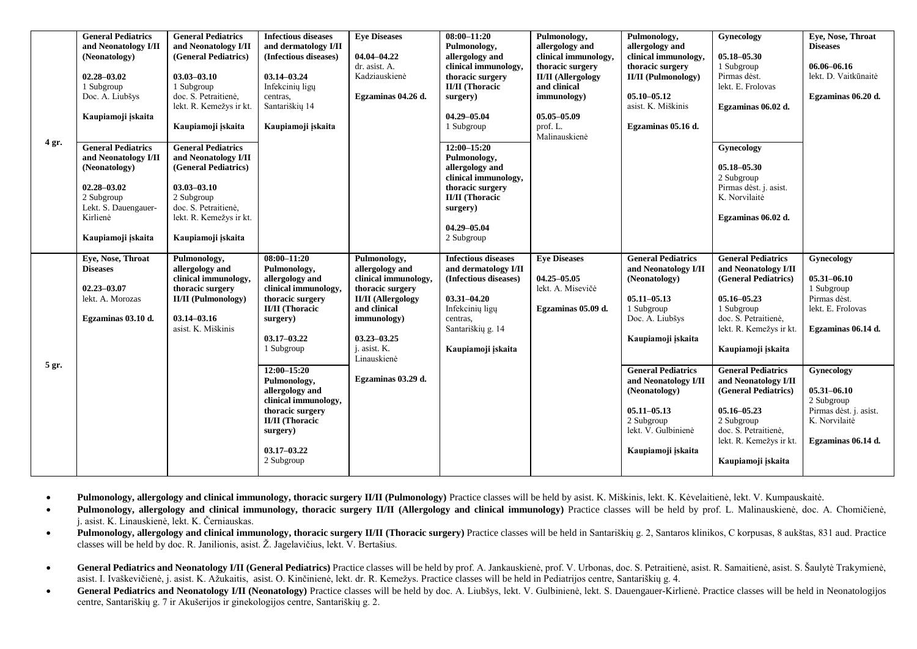| 4 gr. | <b>General Pediatrics</b><br>and Neonatology I/II<br>(Neonatology)<br>02.28-03.02<br>1 Subgroup<br>Doc. A. Liubšys<br>Kaupiamoji iskaita<br><b>General Pediatrics</b><br>and Neonatology I/II<br>(Neonatology)<br>02.28-03.02<br>2 Subgroup | <b>General Pediatrics</b><br>and Neonatology I/II<br>(General Pediatrics)<br>$03.03 - 03.10$<br>1 Subgroup<br>doc. S. Petraitiene.<br>lekt. R. Kemežys ir kt.<br>Kaupiamoji įskaita<br><b>General Pediatrics</b><br>and Neonatology I/II<br>(General Pediatrics)<br>$03.03 - 03.10$<br>2 Subgroup | <b>Infectious diseases</b><br>and dermatology I/II<br>(Infectious diseases)<br>$03.14 - 03.24$<br>Infekcinių ligų<br>centras.<br>Santariškių 14<br>Kaupiamoji įskaita | <b>Eye Diseases</b><br>04.04-04.22<br>dr. asist. A.<br>Kadziauskienė<br>Egzaminas 04.26 d.                                                                                                | $08:00 - 11:20$<br>Pulmonology,<br>allergology and<br>clinical immunology,<br>thoracic surgery<br><b>II/II</b> (Thoracic<br>surgery)<br>04.29-05.04<br>1 Subgroup<br>$12:00 - 15:20$<br>Pulmonology,<br>allergology and<br>clinical immunology,<br>thoracic surgery<br><b>II/II</b> (Thoracic | Pulmonology,<br>allergology and<br>clinical immunology,<br>thoracic surgery<br><b>II/II</b> (Allergology<br>and clinical<br>immunology)<br>$05.05 - 05.09$<br>prof. L.<br>Malinauskienė | Pulmonology,<br>allergology and<br>clinical immunology,<br>thoracic surgery<br><b>II/II</b> (Pulmonology)<br>$05.10 - 05.12$<br>asist. K. Miškinis<br>Egzaminas 05.16 d. | Gynecology<br>$05.18 - 05.30$<br>1 Subgroup<br>Pirmas dest.<br>lekt. E. Frolovas<br>Egzaminas 06.02 d.<br>Gynecology<br>$05.18 - 05.30$<br>2 Subgroup<br>Pirmas dest. j. asist.<br>K. Norvilaitė | Eye, Nose, Throat<br><b>Diseases</b><br>06.06-06.16<br>lekt. D. Vaitkūnaitė<br>Egzaminas 06.20 d.            |
|-------|---------------------------------------------------------------------------------------------------------------------------------------------------------------------------------------------------------------------------------------------|---------------------------------------------------------------------------------------------------------------------------------------------------------------------------------------------------------------------------------------------------------------------------------------------------|-----------------------------------------------------------------------------------------------------------------------------------------------------------------------|-------------------------------------------------------------------------------------------------------------------------------------------------------------------------------------------|-----------------------------------------------------------------------------------------------------------------------------------------------------------------------------------------------------------------------------------------------------------------------------------------------|-----------------------------------------------------------------------------------------------------------------------------------------------------------------------------------------|--------------------------------------------------------------------------------------------------------------------------------------------------------------------------|--------------------------------------------------------------------------------------------------------------------------------------------------------------------------------------------------|--------------------------------------------------------------------------------------------------------------|
|       | Lekt. S. Dauengauer-<br>Kirlienė<br>Kaupiamoji įskaita                                                                                                                                                                                      | doc. S. Petraitiene.<br>lekt. R. Kemežys ir kt.<br>Kaupiamoji įskaita                                                                                                                                                                                                                             |                                                                                                                                                                       |                                                                                                                                                                                           | surgery)<br>04.29-05.04<br>2 Subgroup                                                                                                                                                                                                                                                         |                                                                                                                                                                                         |                                                                                                                                                                          | Egzaminas 06.02 d.                                                                                                                                                                               |                                                                                                              |
| 5 gr. | Eye, Nose, Throat<br><b>Diseases</b><br>$02.23 - 03.07$<br>lekt. A. Morozas<br>Egzaminas 03.10 d.                                                                                                                                           | Pulmonology,<br>allergology and<br>clinical immunology,<br>thoracic surgery<br><b>II/II</b> (Pulmonology)<br>$03.14 - 03.16$<br>asist. K. Miškinis                                                                                                                                                | $08:00 - 11:20$<br>Pulmonology,<br>allergology and<br>clinical immunology,<br>thoracic surgery<br><b>II/II</b> (Thoracic<br>surgery)<br>$03.17 - 03.22$<br>1 Subgroup | Pulmonology,<br>allergology and<br>clinical immunology,<br>thoracic surgery<br><b>II/II</b> (Allergology<br>and clinical<br>immunology)<br>$03.23 - 03.25$<br>j. asist. K.<br>Linauskienė | <b>Infectious diseases</b><br>and dermatology I/II<br>(Infectious diseases)<br>$03.31 - 04.20$<br>Infekcinių ligų<br>centras,<br>Santariškių g. 14<br>Kaupiamoji įskaita                                                                                                                      | <b>Eye Diseases</b><br>$04.25 - 05.05$<br>lekt. A. Misevičė<br>Egzaminas 05.09 d.                                                                                                       | <b>General Pediatrics</b><br>and Neonatology I/II<br>(Neonatology)<br>$05.11 - 05.13$<br>1 Subgroup<br>Doc. A. Liubšys<br>Kaupiamoji įskaita                             | <b>General Pediatrics</b><br>and Neonatology I/II<br>(General Pediatrics)<br>$05.16 - 05.23$<br>1 Subgroup<br>doc. S. Petraitienė,<br>lekt. R. Kemežys ir kt.<br>Kaupiamoji įskaita              | Gynecology<br>$05.31 - 06.10$<br>1 Subgroup<br>Pirmas dest.<br>lekt. E. Frolovas<br>Egzaminas 06.14 d.       |
|       |                                                                                                                                                                                                                                             |                                                                                                                                                                                                                                                                                                   | $12:00 - 15:20$<br>Pulmonology,<br>allergology and<br>clinical immunology,<br>thoracic surgery<br><b>II/II</b> (Thoracic<br>surgery)<br>$03.17 - 03.22$<br>2 Subgroup | Egzaminas 03.29 d.                                                                                                                                                                        |                                                                                                                                                                                                                                                                                               |                                                                                                                                                                                         | <b>General Pediatrics</b><br>and Neonatology I/II<br>(Neonatology)<br>$05.11 - 05.13$<br>2 Subgroup<br>lekt. V. Gulbinienė<br>Kaupiamoji iskaita                         | <b>General Pediatrics</b><br>and Neonatology I/II<br>(General Pediatrics)<br>$05.16 - 05.23$<br>2 Subgroup<br>doc. S. Petraitienė,<br>lekt. R. Kemežys ir kt.<br>Kaupiamoji įskaita              | Gynecology<br>$05.31 - 06.10$<br>2 Subgroup<br>Pirmas dėst. j. asist.<br>K. Norvilaitė<br>Egzaminas 06.14 d. |

**Pulmonology, allergology and clinical immunology, thoracic surgery II/II (Pulmonology)** Practice classes will be held by asist. K. Miškinis, lekt. K. Kėvelaitienė, lekt. V. Kumpauskaitė.

 **Pulmonology, allergology and clinical immunology, thoracic surgery II/II (Allergology and clinical immunology)** Practice classes will be held by prof. L. Malinauskienė, doc. A. Chomičienė, j. asist. K. Linauskienė, lekt. K. Černiauskas.

• Pulmonology, allergology and clinical immunology, thoracic surgery II/II (Thoracic surgery) Practice classes will be held in Santariškiu g. 2, Santaros klinikos, C korpusas, 8 aukštas, 831 aud. Practice classes will be held by doc. R. Janilionis, asist. Ž. Jagelavičius, lekt. V. Bertašius.

 **General Pediatrics and Neonatology I/II (General Pediatrics)** Practice classes will be held by prof. A. Jankauskienė, prof. V. Urbonas, doc. S. Petraitienė, asist. R. Samaitienė, asist. S. Šaulytė Trakymienė, asist. I. Ivaškevičienė, j. asist. K. Ažukaitis, asist. O. Kinčinienė, lekt. dr. R. Kemežys. Practice classes will be held in Pediatrijos centre, Santariškių g. 4.

**General Pediatrics and Neonatology I/II (Neonatology)** Practice classes will be held by doc. A. Liubšys, lekt. V. Gulbinienė, lekt. S. Dauengauer-Kirlienė. Practice classes will be held in Neonatologijos centre, Santariškių g. 7 ir Akušerijos ir ginekologijos centre, Santariškių g. 2.